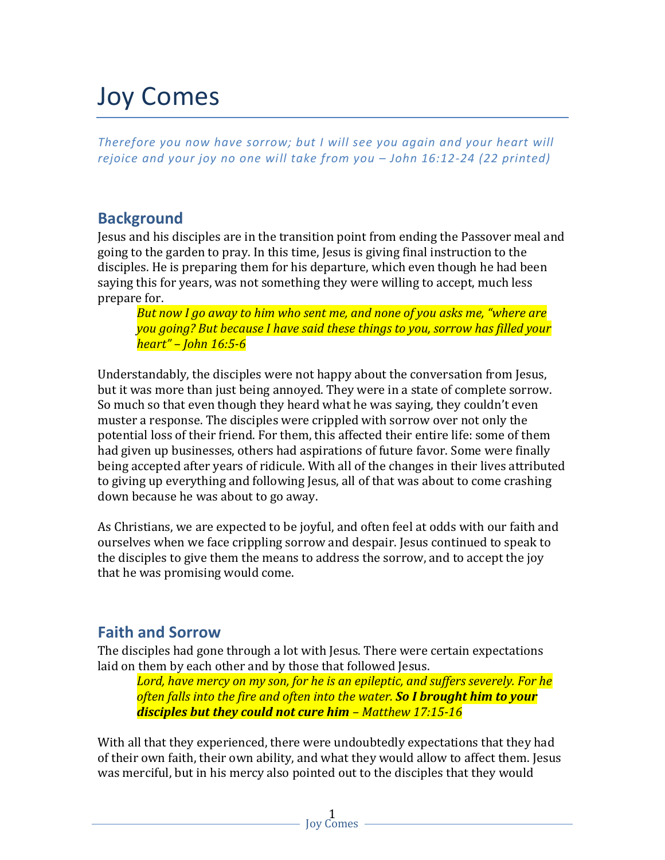# Joy Comes

*Therefore you now have sorrow; but I will see you again and your heart will rejoice and your joy no one will take from you – John 16:12-24 (22 printed)*

# **Background**

Jesus and his disciples are in the transition point from ending the Passover meal and going to the garden to pray. In this time, Jesus is giving final instruction to the disciples. He is preparing them for his departure, which even though he had been saying this for years, was not something they were willing to accept, much less prepare for.

*But now I go away to him who sent me, and none of you asks me, "where are you going? But because I have said these things to you, sorrow has filled your heart" – John 16:5-6*

Understandably, the disciples were not happy about the conversation from Jesus, but it was more than just being annoyed. They were in a state of complete sorrow. So much so that even though they heard what he was saying, they couldn't even muster a response. The disciples were crippled with sorrow over not only the potential loss of their friend. For them, this affected their entire life: some of them had given up businesses, others had aspirations of future favor. Some were finally being accepted after years of ridicule. With all of the changes in their lives attributed to giving up everything and following Jesus, all of that was about to come crashing down because he was about to go away.

As Christians, we are expected to be joyful, and often feel at odds with our faith and ourselves when we face crippling sorrow and despair. Jesus continued to speak to the disciples to give them the means to address the sorrow, and to accept the joy that he was promising would come.

## **Faith and Sorrow**

The disciples had gone through a lot with Jesus. There were certain expectations laid on them by each other and by those that followed Jesus.

*Lord, have mercy on my son, for he is an epileptic, and suffers severely. For he often falls into the fire and often into the water. So I brought him to your disciples but they could not cure him – Matthew 17:15-16*

With all that they experienced, there were undoubtedly expectations that they had of their own faith, their own ability, and what they would allow to affect them. Jesus was merciful, but in his mercy also pointed out to the disciples that they would

> 1 Joy Comes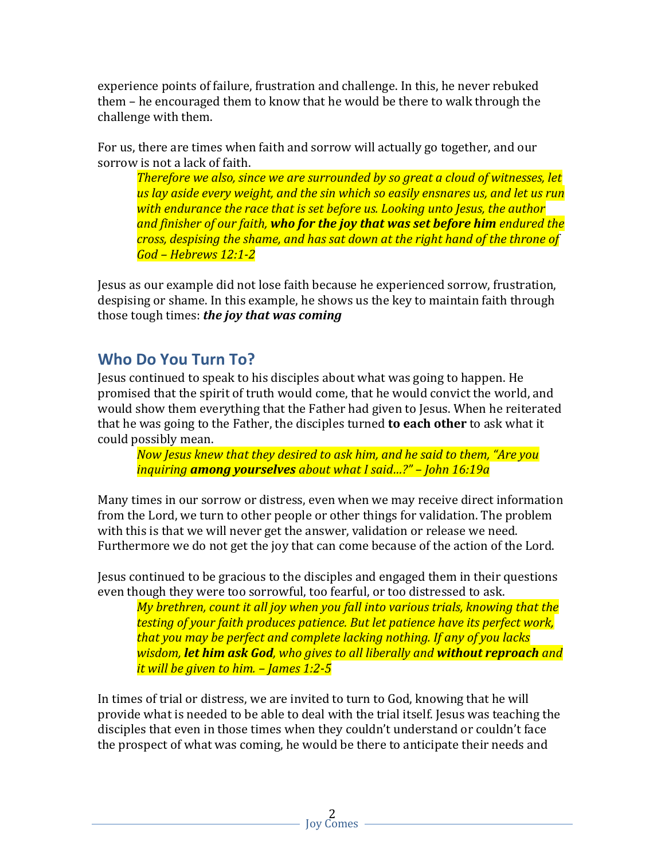experience points of failure, frustration and challenge. In this, he never rebuked them – he encouraged them to know that he would be there to walk through the challenge with them.

For us, there are times when faith and sorrow will actually go together, and our sorrow is not a lack of faith.

*Therefore we also, since we are surrounded by so great a cloud of witnesses, let us lay aside every weight, and the sin which so easily ensnares us, and let us run with endurance the race that is set before us. Looking unto Jesus, the author and finisher of our faith, who for the joy that was set before him endured the cross, despising the shame, and has sat down at the right hand of the throne of God – Hebrews 12:1-2*

Jesus as our example did not lose faith because he experienced sorrow, frustration, despising or shame. In this example, he shows us the key to maintain faith through those tough times: *the joy that was coming*

### **Who Do You Turn To?**

Jesus continued to speak to his disciples about what was going to happen. He promised that the spirit of truth would come, that he would convict the world, and would show them everything that the Father had given to Jesus. When he reiterated that he was going to the Father, the disciples turned **to each other** to ask what it could possibly mean.

*Now Jesus knew that they desired to ask him, and he said to them, "Are you inquiring among yourselves about what I said…?" – John 16:19a*

Many times in our sorrow or distress, even when we may receive direct information from the Lord, we turn to other people or other things for validation. The problem with this is that we will never get the answer, validation or release we need. Furthermore we do not get the joy that can come because of the action of the Lord.

Jesus continued to be gracious to the disciples and engaged them in their questions even though they were too sorrowful, too fearful, or too distressed to ask.

*My brethren, count it all joy when you fall into various trials, knowing that the testing of your faith produces patience. But let patience have its perfect work, that you may be perfect and complete lacking nothing. If any of you lacks wisdom, let him ask God, who gives to all liberally and without reproach and it will be given to him. – James 1:2-5*

In times of trial or distress, we are invited to turn to God, knowing that he will provide what is needed to be able to deal with the trial itself. Jesus was teaching the disciples that even in those times when they couldn't understand or couldn't face the prospect of what was coming, he would be there to anticipate their needs and

> 2 Joy Comes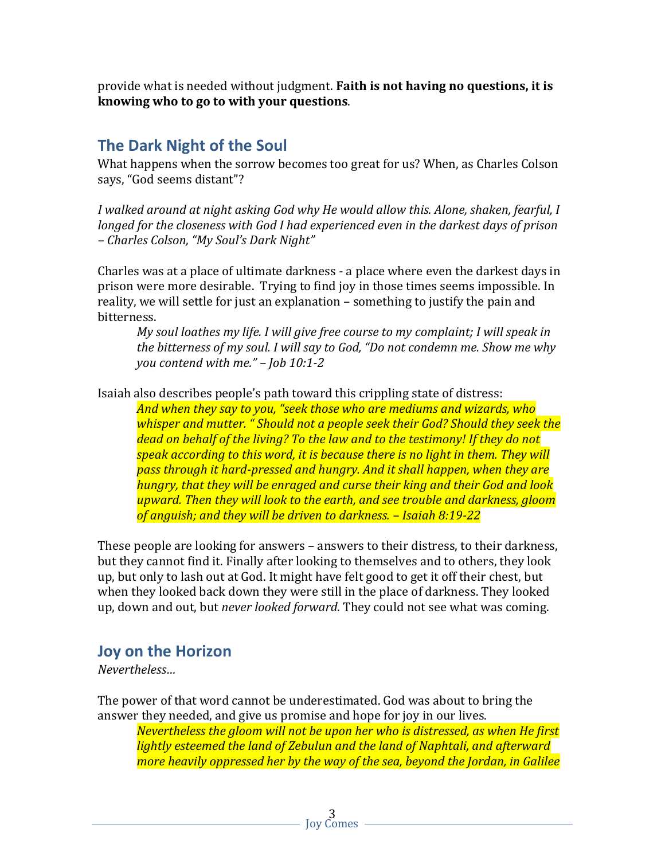provide what is needed without judgment. **Faith is not having no questions, it is knowing who to go to with your questions**.

#### **The Dark Night of the Soul**

What happens when the sorrow becomes too great for us? When, as Charles Colson says, "God seems distant"?

*I walked around at night asking God why He would allow this. Alone, shaken, fearful, I longed for the closeness with God I had experienced even in the darkest days of prison – Charles Colson, "My Soul's Dark Night"*

Charles was at a place of ultimate darkness - a place where even the darkest days in prison were more desirable. Trying to find joy in those times seems impossible. In reality, we will settle for just an explanation – something to justify the pain and bitterness.

*My soul loathes my life. I will give free course to my complaint; I will speak in the bitterness of my soul. I will say to God, "Do not condemn me. Show me why you contend with me." – Job 10:1-2*

Isaiah also describes people's path toward this crippling state of distress:

*And when they say to you, "seek those who are mediums and wizards, who whisper and mutter. " Should not a people seek their God? Should they seek the dead on behalf of the living? To the law and to the testimony! If they do not speak according to this word, it is because there is no light in them. They will pass through it hard-pressed and hungry. And it shall happen, when they are hungry, that they will be enraged and curse their king and their God and look upward. Then they will look to the earth, and see trouble and darkness, gloom of anguish; and they will be driven to darkness. – Isaiah 8:19-22*

These people are looking for answers – answers to their distress, to their darkness, but they cannot find it. Finally after looking to themselves and to others, they look up, but only to lash out at God. It might have felt good to get it off their chest, but when they looked back down they were still in the place of darkness. They looked up, down and out, but *never looked forward*. They could not see what was coming.

#### **Joy on the Horizon**

*Nevertheless…*

The power of that word cannot be underestimated. God was about to bring the answer they needed, and give us promise and hope for joy in our lives.

*Nevertheless the gloom will not be upon her who is distressed, as when He first lightly esteemed the land of Zebulun and the land of Naphtali, and afterward more heavily oppressed her by the way of the sea, beyond the Jordan, in Galilee*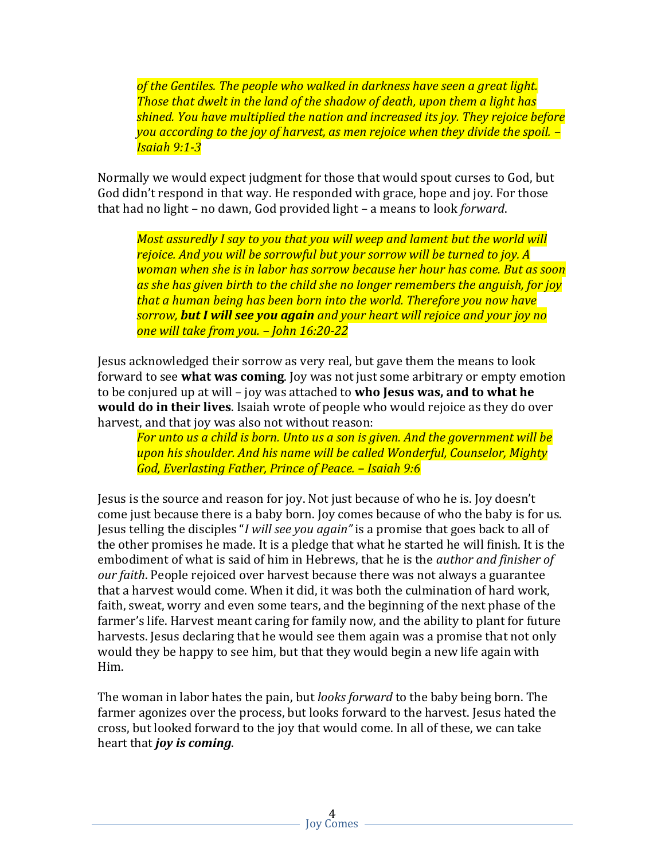*of the Gentiles. The people who walked in darkness have seen a great light. Those that dwelt in the land of the shadow of death, upon them a light has shined. You have multiplied the nation and increased its joy. They rejoice before you according to the joy of harvest, as men rejoice when they divide the spoil. – Isaiah 9:1-3*

Normally we would expect judgment for those that would spout curses to God, but God didn't respond in that way. He responded with grace, hope and joy. For those that had no light – no dawn, God provided light – a means to look *forward*.

*Most assuredly I say to you that you will weep and lament but the world will rejoice. And you will be sorrowful but your sorrow will be turned to joy. A woman when she is in labor has sorrow because her hour has come. But as soon as she has given birth to the child she no longer remembers the anguish, for joy that a human being has been born into the world. Therefore you now have sorrow, but I will see you again and your heart will rejoice and your joy no one will take from you. – John 16:20-22*

Jesus acknowledged their sorrow as very real, but gave them the means to look forward to see **what was coming**. Joy was not just some arbitrary or empty emotion to be conjured up at will – joy was attached to **who Jesus was, and to what he would do in their lives**. Isaiah wrote of people who would rejoice as they do over harvest, and that joy was also not without reason:

*For unto us a child is born. Unto us a son is given. And the government will be upon his shoulder. And his name will be called Wonderful, Counselor, Mighty God, Everlasting Father, Prince of Peace. – Isaiah 9:6*

Jesus is the source and reason for joy. Not just because of who he is. Joy doesn't come just because there is a baby born. Joy comes because of who the baby is for us. Jesus telling the disciples "*I will see you again"* is a promise that goes back to all of the other promises he made. It is a pledge that what he started he will finish. It is the embodiment of what is said of him in Hebrews, that he is the *author and finisher of our faith*. People rejoiced over harvest because there was not always a guarantee that a harvest would come. When it did, it was both the culmination of hard work, faith, sweat, worry and even some tears, and the beginning of the next phase of the farmer's life. Harvest meant caring for family now, and the ability to plant for future harvests. Jesus declaring that he would see them again was a promise that not only would they be happy to see him, but that they would begin a new life again with Him.

The woman in labor hates the pain, but *looks forward* to the baby being born. The farmer agonizes over the process, but looks forward to the harvest. Jesus hated the cross, but looked forward to the joy that would come. In all of these, we can take heart that *joy is coming*.